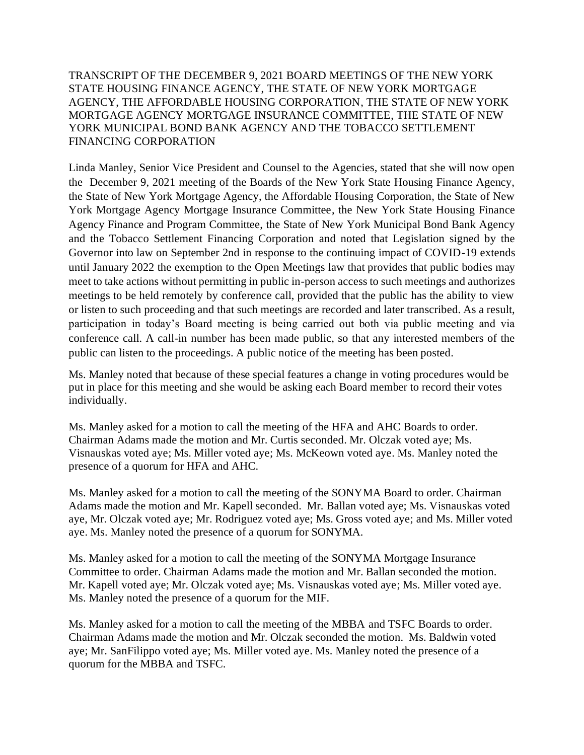TRANSCRIPT OF THE DECEMBER 9, 2021 BOARD MEETINGS OF THE NEW YORK STATE HOUSING FINANCE AGENCY, THE STATE OF NEW YORK MORTGAGE AGENCY, THE AFFORDABLE HOUSING CORPORATION, THE STATE OF NEW YORK MORTGAGE AGENCY MORTGAGE INSURANCE COMMITTEE, THE STATE OF NEW YORK MUNICIPAL BOND BANK AGENCY AND THE TOBACCO SETTLEMENT FINANCING CORPORATION

Linda Manley, Senior Vice President and Counsel to the Agencies, stated that she will now open the December 9, 2021 meeting of the Boards of the New York State Housing Finance Agency, the State of New York Mortgage Agency, the Affordable Housing Corporation, the State of New York Mortgage Agency Mortgage Insurance Committee, the New York State Housing Finance Agency Finance and Program Committee, the State of New York Municipal Bond Bank Agency and the Tobacco Settlement Financing Corporation and noted that Legislation signed by the Governor into law on September 2nd in response to the continuing impact of COVID-19 extends until January 2022 the exemption to the Open Meetings law that provides that public bodies may meet to take actions without permitting in public in-person access to such meetings and authorizes meetings to be held remotely by conference call, provided that the public has the ability to view or listen to such proceeding and that such meetings are recorded and later transcribed. As a result, participation in today's Board meeting is being carried out both via public meeting and via conference call. A call-in number has been made public, so that any interested members of the public can listen to the proceedings. A public notice of the meeting has been posted.

Ms. Manley noted that because of these special features a change in voting procedures would be put in place for this meeting and she would be asking each Board member to record their votes individually.

Ms. Manley asked for a motion to call the meeting of the HFA and AHC Boards to order. Chairman Adams made the motion and Mr. Curtis seconded. Mr. Olczak voted aye; Ms. Visnauskas voted aye; Ms. Miller voted aye; Ms. McKeown voted aye. Ms. Manley noted the presence of a quorum for HFA and AHC.

Ms. Manley asked for a motion to call the meeting of the SONYMA Board to order. Chairman Adams made the motion and Mr. Kapell seconded. Mr. Ballan voted aye; Ms. Visnauskas voted aye, Mr. Olczak voted aye; Mr. Rodriguez voted aye; Ms. Gross voted aye; and Ms. Miller voted aye. Ms. Manley noted the presence of a quorum for SONYMA.

Ms. Manley asked for a motion to call the meeting of the SONYMA Mortgage Insurance Committee to order. Chairman Adams made the motion and Mr. Ballan seconded the motion. Mr. Kapell voted aye; Mr. Olczak voted aye; Ms. Visnauskas voted aye; Ms. Miller voted aye. Ms. Manley noted the presence of a quorum for the MIF.

Ms. Manley asked for a motion to call the meeting of the MBBA and TSFC Boards to order. Chairman Adams made the motion and Mr. Olczak seconded the motion. Ms. Baldwin voted aye; Mr. SanFilippo voted aye; Ms. Miller voted aye. Ms. Manley noted the presence of a quorum for the MBBA and TSFC.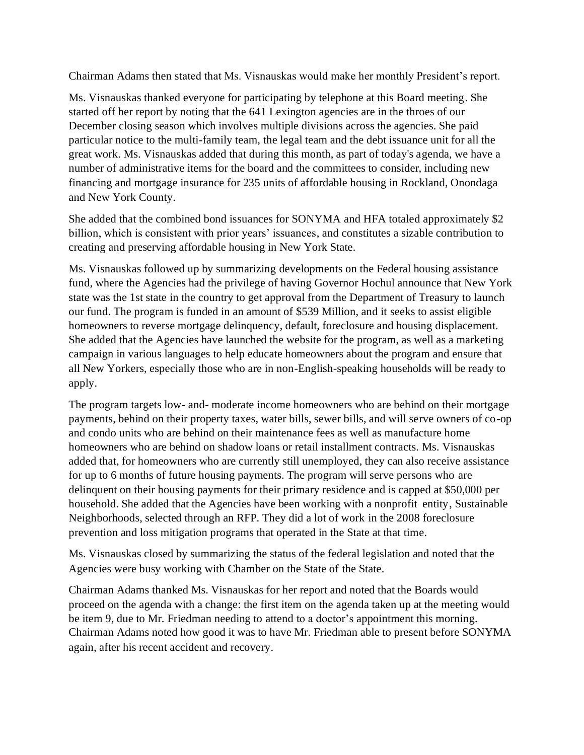Chairman Adams then stated that Ms. Visnauskas would make her monthly President's report.

Ms. Visnauskas thanked everyone for participating by telephone at this Board meeting. She started off her report by noting that the 641 Lexington agencies are in the throes of our December closing season which involves multiple divisions across the agencies. She paid particular notice to the multi-family team, the legal team and the debt issuance unit for all the great work. Ms. Visnauskas added that during this month, as part of today's agenda, we have a number of administrative items for the board and the committees to consider, including new financing and mortgage insurance for 235 units of affordable housing in Rockland, Onondaga and New York County.

She added that the combined bond issuances for SONYMA and HFA totaled approximately \$2 billion, which is consistent with prior years' issuances, and constitutes a sizable contribution to creating and preserving affordable housing in New York State.

Ms. Visnauskas followed up by summarizing developments on the Federal housing assistance fund, where the Agencies had the privilege of having Governor Hochul announce that New York state was the 1st state in the country to get approval from the Department of Treasury to launch our fund. The program is funded in an amount of \$539 Million, and it seeks to assist eligible homeowners to reverse mortgage delinquency, default, foreclosure and housing displacement. She added that the Agencies have launched the website for the program, as well as a marketing campaign in various languages to help educate homeowners about the program and ensure that all New Yorkers, especially those who are in non-English-speaking households will be ready to apply.

The program targets low- and- moderate income homeowners who are behind on their mortgage payments, behind on their property taxes, water bills, sewer bills, and will serve owners of co-op and condo units who are behind on their maintenance fees as well as manufacture home homeowners who are behind on shadow loans or retail installment contracts. Ms. Visnauskas added that, for homeowners who are currently still unemployed, they can also receive assistance for up to 6 months of future housing payments. The program will serve persons who are delinquent on their housing payments for their primary residence and is capped at \$50,000 per household. She added that the Agencies have been working with a nonprofit entity, Sustainable Neighborhoods, selected through an RFP. They did a lot of work in the 2008 foreclosure prevention and loss mitigation programs that operated in the State at that time.

Ms. Visnauskas closed by summarizing the status of the federal legislation and noted that the Agencies were busy working with Chamber on the State of the State.

Chairman Adams thanked Ms. Visnauskas for her report and noted that the Boards would proceed on the agenda with a change: the first item on the agenda taken up at the meeting would be item 9, due to Mr. Friedman needing to attend to a doctor's appointment this morning. Chairman Adams noted how good it was to have Mr. Friedman able to present before SONYMA again, after his recent accident and recovery.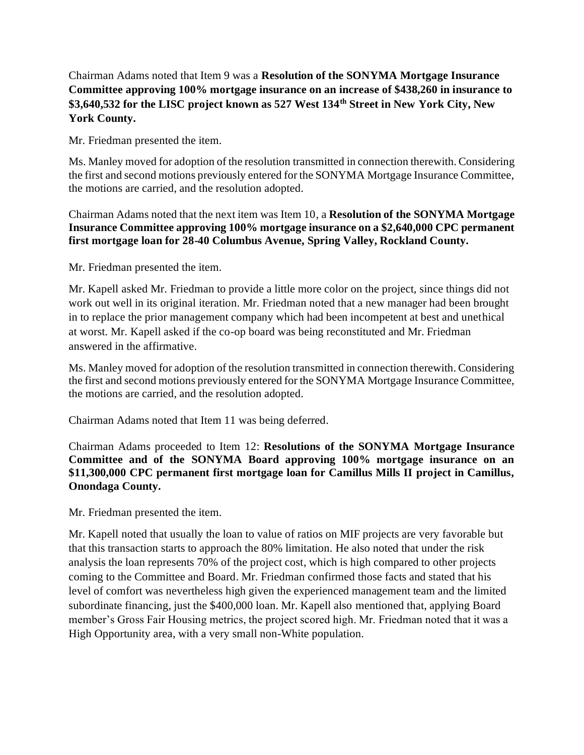# Chairman Adams noted that Item 9 was a **Resolution of the SONYMA Mortgage Insurance Committee approving 100% mortgage insurance on an increase of \$438,260 in insurance to \$3,640,532 for the LISC project known as 527 West 134th Street in New York City, New York County.**

Mr. Friedman presented the item.

Ms. Manley moved for adoption of the resolution transmitted in connection therewith. Considering the first and second motions previously entered for the SONYMA Mortgage Insurance Committee, the motions are carried, and the resolution adopted.

Chairman Adams noted that the next item was Item 10, a **Resolution of the SONYMA Mortgage Insurance Committee approving 100% mortgage insurance on a \$2,640,000 CPC permanent first mortgage loan for 28-40 Columbus Avenue, Spring Valley, Rockland County.**

Mr. Friedman presented the item.

Mr. Kapell asked Mr. Friedman to provide a little more color on the project, since things did not work out well in its original iteration. Mr. Friedman noted that a new manager had been brought in to replace the prior management company which had been incompetent at best and unethical at worst. Mr. Kapell asked if the co-op board was being reconstituted and Mr. Friedman answered in the affirmative.

Ms. Manley moved for adoption of the resolution transmitted in connection therewith. Considering the first and second motions previously entered for the SONYMA Mortgage Insurance Committee, the motions are carried, and the resolution adopted.

Chairman Adams noted that Item 11 was being deferred.

Chairman Adams proceeded to Item 12: **Resolutions of the SONYMA Mortgage Insurance Committee and of the SONYMA Board approving 100% mortgage insurance on an \$11,300,000 CPC permanent first mortgage loan for Camillus Mills II project in Camillus, Onondaga County.**

Mr. Friedman presented the item.

Mr. Kapell noted that usually the loan to value of ratios on MIF projects are very favorable but that this transaction starts to approach the 80% limitation. He also noted that under the risk analysis the loan represents 70% of the project cost, which is high compared to other projects coming to the Committee and Board. Mr. Friedman confirmed those facts and stated that his level of comfort was nevertheless high given the experienced management team and the limited subordinate financing, just the \$400,000 loan. Mr. Kapell also mentioned that, applying Board member's Gross Fair Housing metrics, the project scored high. Mr. Friedman noted that it was a High Opportunity area, with a very small non-White population.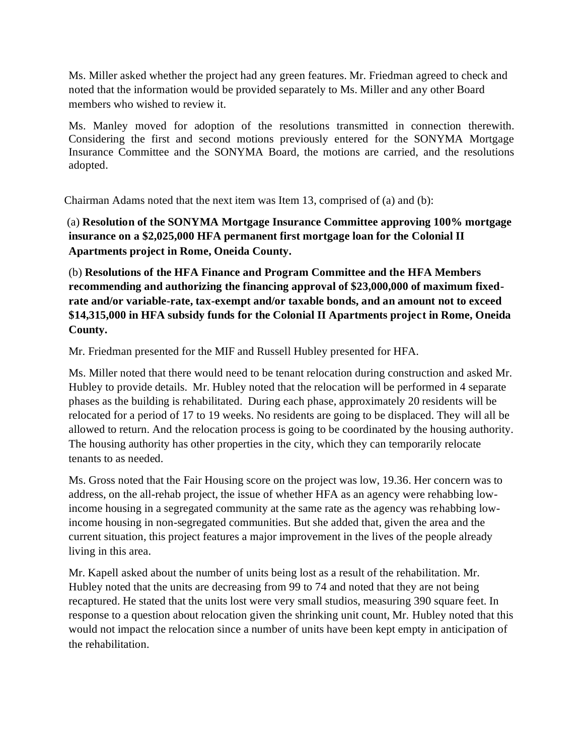Ms. Miller asked whether the project had any green features. Mr. Friedman agreed to check and noted that the information would be provided separately to Ms. Miller and any other Board members who wished to review it.

Ms. Manley moved for adoption of the resolutions transmitted in connection therewith. Considering the first and second motions previously entered for the SONYMA Mortgage Insurance Committee and the SONYMA Board, the motions are carried, and the resolutions adopted.

Chairman Adams noted that the next item was Item 13, comprised of (a) and (b):

(a) **Resolution of the SONYMA Mortgage Insurance Committee approving 100% mortgage insurance on a \$2,025,000 HFA permanent first mortgage loan for the Colonial II Apartments project in Rome, Oneida County.**

(b) **Resolutions of the HFA Finance and Program Committee and the HFA Members recommending and authorizing the financing approval of \$23,000,000 of maximum fixedrate and/or variable-rate, tax-exempt and/or taxable bonds, and an amount not to exceed \$14,315,000 in HFA subsidy funds for the Colonial II Apartments project in Rome, Oneida County.**

Mr. Friedman presented for the MIF and Russell Hubley presented for HFA.

Ms. Miller noted that there would need to be tenant relocation during construction and asked Mr. Hubley to provide details. Mr. Hubley noted that the relocation will be performed in 4 separate phases as the building is rehabilitated. During each phase, approximately 20 residents will be relocated for a period of 17 to 19 weeks. No residents are going to be displaced. They will all be allowed to return. And the relocation process is going to be coordinated by the housing authority. The housing authority has other properties in the city, which they can temporarily relocate tenants to as needed.

Ms. Gross noted that the Fair Housing score on the project was low, 19.36. Her concern was to address, on the all-rehab project, the issue of whether HFA as an agency were rehabbing lowincome housing in a segregated community at the same rate as the agency was rehabbing lowincome housing in non-segregated communities. But she added that, given the area and the current situation, this project features a major improvement in the lives of the people already living in this area.

Mr. Kapell asked about the number of units being lost as a result of the rehabilitation. Mr. Hubley noted that the units are decreasing from 99 to 74 and noted that they are not being recaptured. He stated that the units lost were very small studios, measuring 390 square feet. In response to a question about relocation given the shrinking unit count, Mr. Hubley noted that this would not impact the relocation since a number of units have been kept empty in anticipation of the rehabilitation.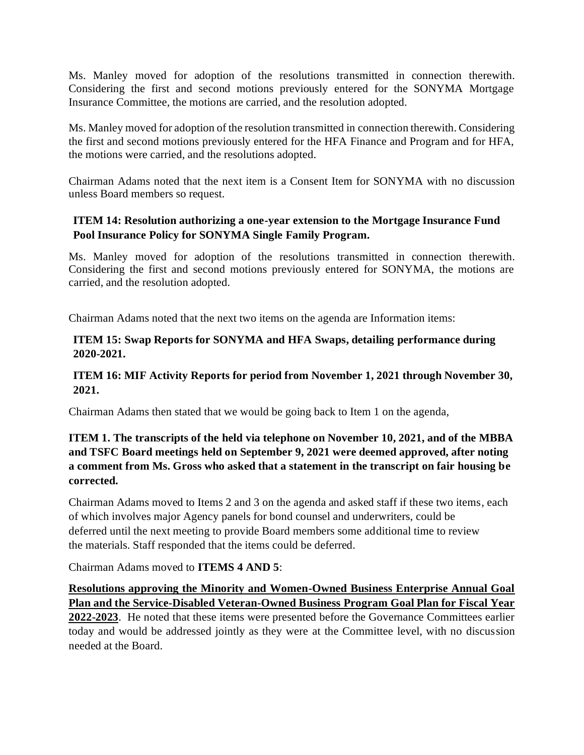Ms. Manley moved for adoption of the resolutions transmitted in connection therewith. Considering the first and second motions previously entered for the SONYMA Mortgage Insurance Committee, the motions are carried, and the resolution adopted.

Ms. Manley moved for adoption of the resolution transmitted in connection therewith. Considering the first and second motions previously entered for the HFA Finance and Program and for HFA, the motions were carried, and the resolutions adopted.

Chairman Adams noted that the next item is a Consent Item for SONYMA with no discussion unless Board members so request.

## **ITEM 14: Resolution authorizing a one-year extension to the Mortgage Insurance Fund Pool Insurance Policy for SONYMA Single Family Program.**

Ms. Manley moved for adoption of the resolutions transmitted in connection therewith. Considering the first and second motions previously entered for SONYMA, the motions are carried, and the resolution adopted.

Chairman Adams noted that the next two items on the agenda are Information items:

### **ITEM 15: Swap Reports for SONYMA and HFA Swaps, detailing performance during 2020-2021.**

## **ITEM 16: MIF Activity Reports for period from November 1, 2021 through November 30, 2021.**

Chairman Adams then stated that we would be going back to Item 1 on the agenda,

# **ITEM 1. The transcripts of the held via telephone on November 10, 2021, and of the MBBA and TSFC Board meetings held on September 9, 2021 were deemed approved, after noting a comment from Ms. Gross who asked that a statement in the transcript on fair housing be corrected.**

Chairman Adams moved to Items 2 and 3 on the agenda and asked staff if these two items, each of which involves major Agency panels for bond counsel and underwriters, could be deferred until the next meeting to provide Board members some additional time to review the materials. Staff responded that the items could be deferred.

Chairman Adams moved to **ITEMS 4 AND 5**:

**Resolutions approving the Minority and Women-Owned Business Enterprise Annual Goal Plan and the Service-Disabled Veteran-Owned Business Program Goal Plan for Fiscal Year 2022-2023**. He noted that these items were presented before the Governance Committees earlier today and would be addressed jointly as they were at the Committee level, with no discussion needed at the Board.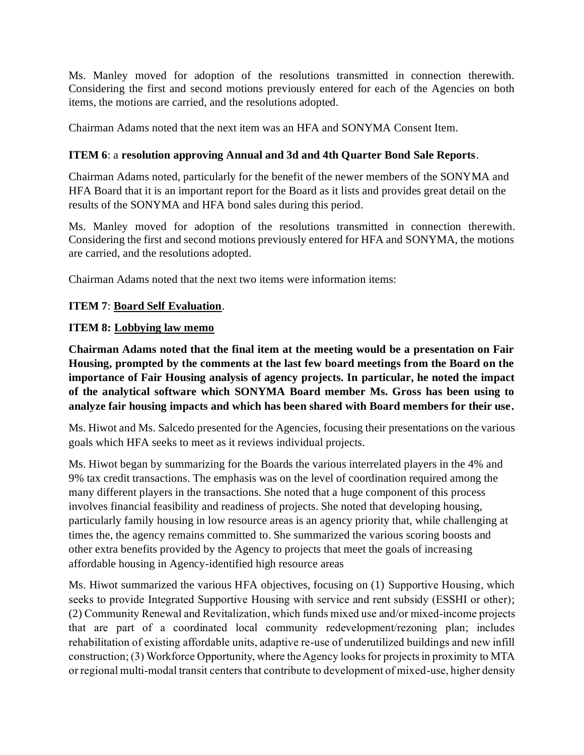Ms. Manley moved for adoption of the resolutions transmitted in connection therewith. Considering the first and second motions previously entered for each of the Agencies on both items, the motions are carried, and the resolutions adopted.

Chairman Adams noted that the next item was an HFA and SONYMA Consent Item.

### **ITEM 6**: a **resolution approving Annual and 3d and 4th Quarter Bond Sale Reports**.

Chairman Adams noted, particularly for the benefit of the newer members of the SONYMA and HFA Board that it is an important report for the Board as it lists and provides great detail on the results of the SONYMA and HFA bond sales during this period.

Ms. Manley moved for adoption of the resolutions transmitted in connection therewith. Considering the first and second motions previously entered for HFA and SONYMA, the motions are carried, and the resolutions adopted.

Chairman Adams noted that the next two items were information items:

### **ITEM 7**: **Board Self Evaluation**.

### **ITEM 8: Lobbying law memo**

**Chairman Adams noted that the final item at the meeting would be a presentation on Fair Housing, prompted by the comments at the last few board meetings from the Board on the importance of Fair Housing analysis of agency projects. In particular, he noted the impact of the analytical software which SONYMA Board member Ms. Gross has been using to analyze fair housing impacts and which has been shared with Board members for their use.** 

Ms. Hiwot and Ms. Salcedo presented for the Agencies, focusing their presentations on the various goals which HFA seeks to meet as it reviews individual projects.

Ms. Hiwot began by summarizing for the Boards the various interrelated players in the 4% and 9% tax credit transactions. The emphasis was on the level of coordination required among the many different players in the transactions. She noted that a huge component of this process involves financial feasibility and readiness of projects. She noted that developing housing, particularly family housing in low resource areas is an agency priority that, while challenging at times the, the agency remains committed to. She summarized the various scoring boosts and other extra benefits provided by the Agency to projects that meet the goals of increasing affordable housing in Agency-identified high resource areas

Ms. Hiwot summarized the various HFA objectives, focusing on (1) Supportive Housing, which seeks to provide Integrated Supportive Housing with service and rent subsidy (ESSHI or other); (2) Community Renewal and Revitalization, which funds mixed use and/or mixed-income projects that are part of a coordinated local community redevelopment/rezoning plan; includes rehabilitation of existing affordable units, adaptive re-use of underutilized buildings and new infill construction; (3) Workforce Opportunity, where the Agency looks for projects in proximity to MTA or regional multi-modal transit centers that contribute to development of mixed-use, higher density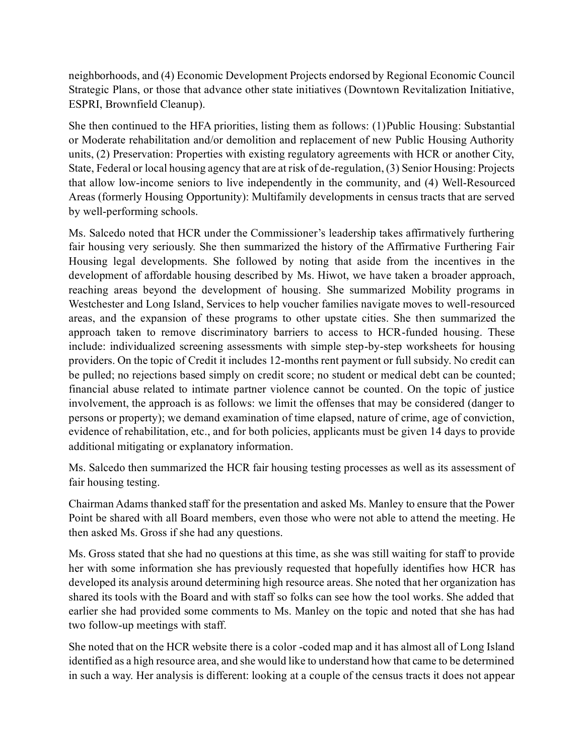neighborhoods, and (4) Economic Development Projects endorsed by Regional Economic Council Strategic Plans, or those that advance other state initiatives (Downtown Revitalization Initiative, ESPRI, Brownfield Cleanup).

She then continued to the HFA priorities, listing them as follows: (1)Public Housing: Substantial or Moderate rehabilitation and/or demolition and replacement of new Public Housing Authority units, (2) Preservation: Properties with existing regulatory agreements with HCR or another City, State, Federal or local housing agency that are at risk of de-regulation, (3) Senior Housing: Projects that allow low-income seniors to live independently in the community, and (4) Well-Resourced Areas (formerly Housing Opportunity): Multifamily developments in census tracts that are served by well-performing schools.

Ms. Salcedo noted that HCR under the Commissioner's leadership takes affirmatively furthering fair housing very seriously. She then summarized the history of the Affirmative Furthering Fair Housing legal developments. She followed by noting that aside from the incentives in the development of affordable housing described by Ms. Hiwot, we have taken a broader approach, reaching areas beyond the development of housing. She summarized Mobility programs in Westchester and Long Island, Services to help voucher families navigate moves to well-resourced areas, and the expansion of these programs to other upstate cities. She then summarized the approach taken to remove discriminatory barriers to access to HCR-funded housing. These include: individualized screening assessments with simple step-by-step worksheets for housing providers. On the topic of Credit it includes 12-months rent payment or full subsidy. No credit can be pulled; no rejections based simply on credit score; no student or medical debt can be counted; financial abuse related to intimate partner violence cannot be counted. On the topic of justice involvement, the approach is as follows: we limit the offenses that may be considered (danger to persons or property); we demand examination of time elapsed, nature of crime, age of conviction, evidence of rehabilitation, etc., and for both policies, applicants must be given 14 days to provide additional mitigating or explanatory information.

Ms. Salcedo then summarized the HCR fair housing testing processes as well as its assessment of fair housing testing.

Chairman Adams thanked staff for the presentation and asked Ms. Manley to ensure that the Power Point be shared with all Board members, even those who were not able to attend the meeting. He then asked Ms. Gross if she had any questions.

Ms. Gross stated that she had no questions at this time, as she was still waiting for staff to provide her with some information she has previously requested that hopefully identifies how HCR has developed its analysis around determining high resource areas. She noted that her organization has shared its tools with the Board and with staff so folks can see how the tool works. She added that earlier she had provided some comments to Ms. Manley on the topic and noted that she has had two follow-up meetings with staff.

She noted that on the HCR website there is a color -coded map and it has almost all of Long Island identified as a high resource area, and she would like to understand how that came to be determined in such a way. Her analysis is different: looking at a couple of the census tracts it does not appear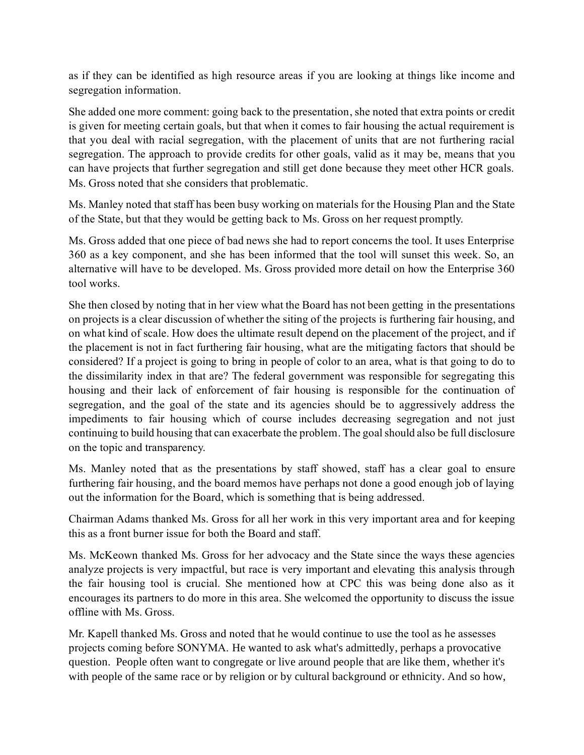as if they can be identified as high resource areas if you are looking at things like income and segregation information.

She added one more comment: going back to the presentation, she noted that extra points or credit is given for meeting certain goals, but that when it comes to fair housing the actual requirement is that you deal with racial segregation, with the placement of units that are not furthering racial segregation. The approach to provide credits for other goals, valid as it may be, means that you can have projects that further segregation and still get done because they meet other HCR goals. Ms. Gross noted that she considers that problematic.

Ms. Manley noted that staff has been busy working on materials for the Housing Plan and the State of the State, but that they would be getting back to Ms. Gross on her request promptly.

Ms. Gross added that one piece of bad news she had to report concerns the tool. It uses Enterprise 360 as a key component, and she has been informed that the tool will sunset this week. So, an alternative will have to be developed. Ms. Gross provided more detail on how the Enterprise 360 tool works.

She then closed by noting that in her view what the Board has not been getting in the presentations on projects is a clear discussion of whether the siting of the projects is furthering fair housing, and on what kind of scale. How does the ultimate result depend on the placement of the project, and if the placement is not in fact furthering fair housing, what are the mitigating factors that should be considered? If a project is going to bring in people of color to an area, what is that going to do to the dissimilarity index in that are? The federal government was responsible for segregating this housing and their lack of enforcement of fair housing is responsible for the continuation of segregation, and the goal of the state and its agencies should be to aggressively address the impediments to fair housing which of course includes decreasing segregation and not just continuing to build housing that can exacerbate the problem. The goal should also be full disclosure on the topic and transparency.

Ms. Manley noted that as the presentations by staff showed, staff has a clear goal to ensure furthering fair housing, and the board memos have perhaps not done a good enough job of laying out the information for the Board, which is something that is being addressed.

Chairman Adams thanked Ms. Gross for all her work in this very important area and for keeping this as a front burner issue for both the Board and staff.

Ms. McKeown thanked Ms. Gross for her advocacy and the State since the ways these agencies analyze projects is very impactful, but race is very important and elevating this analysis through the fair housing tool is crucial. She mentioned how at CPC this was being done also as it encourages its partners to do more in this area. She welcomed the opportunity to discuss the issue offline with Ms. Gross.

Mr. Kapell thanked Ms. Gross and noted that he would continue to use the tool as he assesses projects coming before SONYMA. He wanted to ask what's admittedly, perhaps a provocative question. People often want to congregate or live around people that are like them, whether it's with people of the same race or by religion or by cultural background or ethnicity. And so how,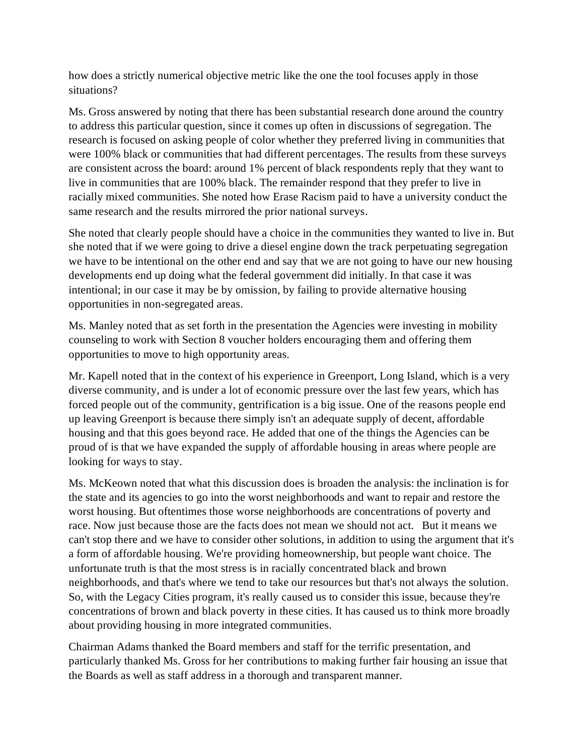how does a strictly numerical objective metric like the one the tool focuses apply in those situations?

Ms. Gross answered by noting that there has been substantial research done around the country to address this particular question, since it comes up often in discussions of segregation. The research is focused on asking people of color whether they preferred living in communities that were 100% black or communities that had different percentages. The results from these surveys are consistent across the board: around 1% percent of black respondents reply that they want to live in communities that are 100% black. The remainder respond that they prefer to live in racially mixed communities. She noted how Erase Racism paid to have a university conduct the same research and the results mirrored the prior national surveys.

She noted that clearly people should have a choice in the communities they wanted to live in. But she noted that if we were going to drive a diesel engine down the track perpetuating segregation we have to be intentional on the other end and say that we are not going to have our new housing developments end up doing what the federal government did initially. In that case it was intentional; in our case it may be by omission, by failing to provide alternative housing opportunities in non-segregated areas.

Ms. Manley noted that as set forth in the presentation the Agencies were investing in mobility counseling to work with Section 8 voucher holders encouraging them and offering them opportunities to move to high opportunity areas.

Mr. Kapell noted that in the context of his experience in Greenport, Long Island, which is a very diverse community, and is under a lot of economic pressure over the last few years, which has forced people out of the community, gentrification is a big issue. One of the reasons people end up leaving Greenport is because there simply isn't an adequate supply of decent, affordable housing and that this goes beyond race. He added that one of the things the Agencies can be proud of is that we have expanded the supply of affordable housing in areas where people are looking for ways to stay.

Ms. McKeown noted that what this discussion does is broaden the analysis: the inclination is for the state and its agencies to go into the worst neighborhoods and want to repair and restore the worst housing. But oftentimes those worse neighborhoods are concentrations of poverty and race. Now just because those are the facts does not mean we should not act. But it means we can't stop there and we have to consider other solutions, in addition to using the argument that it's a form of affordable housing. We're providing homeownership, but people want choice. The unfortunate truth is that the most stress is in racially concentrated black and brown neighborhoods, and that's where we tend to take our resources but that's not always the solution. So, with the Legacy Cities program, it's really caused us to consider this issue, because they're concentrations of brown and black poverty in these cities. It has caused us to think more broadly about providing housing in more integrated communities.

Chairman Adams thanked the Board members and staff for the terrific presentation, and particularly thanked Ms. Gross for her contributions to making further fair housing an issue that the Boards as well as staff address in a thorough and transparent manner.